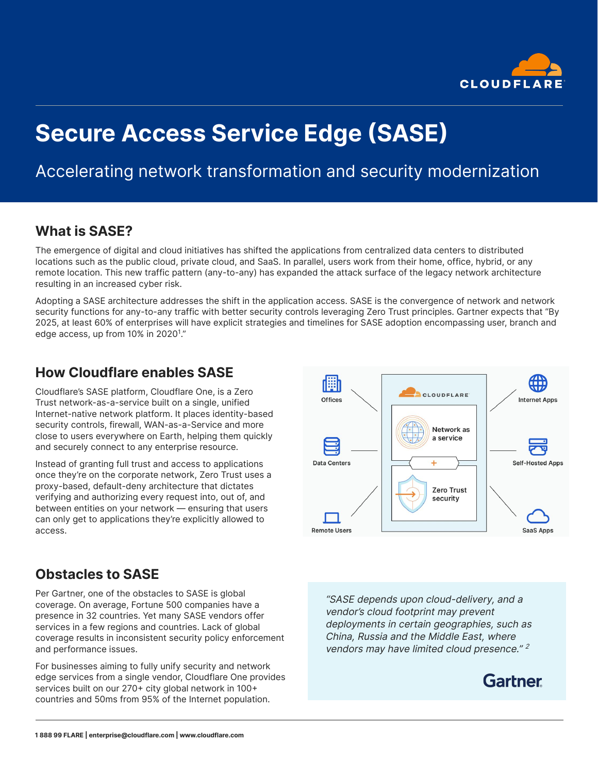

# **Secure Access Service Edge (SASE)**

## Accelerating network transformation and security modernization

## **What is SASE?**

The emergence of digital and cloud initiatives has shifted the applications from centralized data centers to distributed locations such as the public cloud, private cloud, and SaaS. In parallel, users work from their home, office, hybrid, or any remote location. This new traffic pattern (any-to-any) has expanded the attack surface of the legacy network architecture resulting in an increased cyber risk.

Adopting a SASE architecture addresses the shift in the application access. SASE is the convergence of network and network security functions for any-to-any traffic with better security controls leveraging Zero Trust principles. Gartner expects that "By 2025, at least 60% of enterprises will have explicit strategies and timelines for SASE adoption encompassing user, branch and edge access, up from 10% in 2020<sup>1</sup>."

## **How Cloudflare enables SASE**

Cloudflare's SASE platform, Cloudflare One, is a Zero Trust network-as-a-service built on a single, unified Internet-native network platform. It places identity-based security controls, firewall, WAN-as-a-Service and more close to users everywhere on Earth, helping them quickly and securely connect to any enterprise resource.

Instead of granting full trust and access to applications once they're on the corporate network, Zero Trust uses a proxy-based, default-deny architecture that dictates verifying and authorizing every request into, out of, and between entities on your network — ensuring that users can only get to applications they're explicitly allowed to access.



## **Obstacles to SASE**

Per Gartner, one of the obstacles to SASE is global coverage. On average, Fortune 500 companies have a presence in 32 countries. Yet many SASE vendors offer services in a few regions and countries. Lack of global coverage results in inconsistent security policy enforcement and performance issues.

For businesses aiming to fully unify security and network edge services from a single vendor, Cloudflare One provides services built on our 270+ city global network in 100+ countries and 50ms from 95% of the Internet population.

"SASE depends upon cloud-delivery, and a vendor's cloud footprint may prevent deployments in certain geographies, such as China, Russia and the Middle East, where vendors may have limited cloud presence."<sup>2</sup>